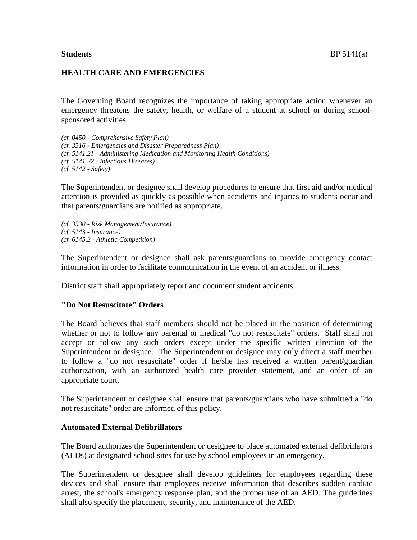## **HEALTH CARE AND EMERGENCIES**

The Governing Board recognizes the importance of taking appropriate action whenever an emergency threatens the safety, health, or welfare of a student at school or during schoolsponsored activities.

*(cf. 0450 - Comprehensive Safety Plan) (cf. 3516 - Emergencies and Disaster Preparedness Plan) (cf. 5141.21 - Administering Medication and Monitoring Health Conditions) (cf. 5141.22 - Infectious Diseases) (cf. 5142 - Safety)*

The Superintendent or designee shall develop procedures to ensure that first aid and/or medical attention is provided as quickly as possible when accidents and injuries to students occur and that parents/guardians are notified as appropriate.

*(cf. 3530 - Risk Management/Insurance) (cf. 5143 - Insurance) (cf. 6145.2 - Athletic Competition)*

The Superintendent or designee shall ask parents/guardians to provide emergency contact information in order to facilitate communication in the event of an accident or illness.

District staff shall appropriately report and document student accidents.

## **"Do Not Resuscitate" Orders**

The Board believes that staff members should not be placed in the position of determining whether or not to follow any parental or medical "do not resuscitate" orders. Staff shall not accept or follow any such orders except under the specific written direction of the Superintendent or designee. The Superintendent or designee may only direct a staff member to follow a "do not resuscitate" order if he/she has received a written parent/guardian authorization, with an authorized health care provider statement, and an order of an appropriate court.

The Superintendent or designee shall ensure that parents/guardians who have submitted a "do not resuscitate" order are informed of this policy.

## **Automated External Defibrillators**

The Board authorizes the Superintendent or designee to place automated external defibrillators (AEDs) at designated school sites for use by school employees in an emergency.

The Superintendent or designee shall develop guidelines for employees regarding these devices and shall ensure that employees receive information that describes sudden cardiac arrest, the school's emergency response plan, and the proper use of an AED. The guidelines shall also specify the placement, security, and maintenance of the AED.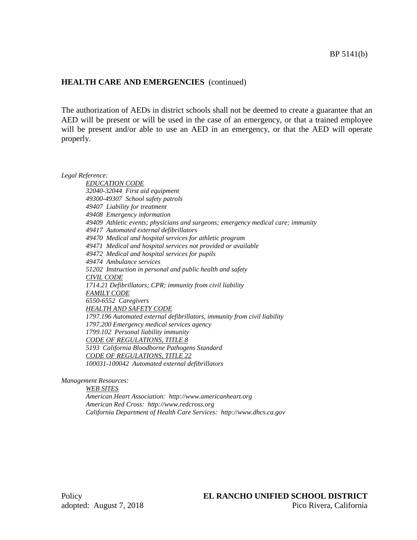## **HEALTH CARE AND EMERGENCIES** (continued)

The authorization of AEDs in district schools shall not be deemed to create a guarantee that an AED will be present or will be used in the case of an emergency, or that a trained employee will be present and/or able to use an AED in an emergency, or that the AED will operate properly.

*Legal Reference:*

*EDUCATION CODE 32040-32044 First aid equipment 49300-49307 School safety patrols 49407 Liability for treatment 49408 Emergency information 49409 Athletic events; physicians and surgeons; emergency medical care; immunity 49417 Automated external defibrillators 49470 Medical and hospital services for athletic program 49471 Medical and hospital services not provided or available 49472 Medical and hospital services for pupils 49474 Ambulance services 51202 Instruction in personal and public health and safety CIVIL CODE 1714.21 Defibrillators; CPR; immunity from civil liability FAMILY CODE 6550-6552 Caregivers HEALTH AND SAFETY CODE 1797.196 Automated external defibrillators, immunity from civil liability 1797.200 Emergency medical services agency 1799.102 Personal liability immunity CODE OF REGULATIONS, TITLE 8 5193 California Bloodborne Pathogens Standard CODE OF REGULATIONS, TITLE 22 100031-100042 Automated external defibrillators*

*Management Resources:*

*WEB SITES American Heart Association: http://www.americanheart.org American Red Cross: http://www.redcross.org California Department of Health Care Services: http://www.dhcs.ca.gov*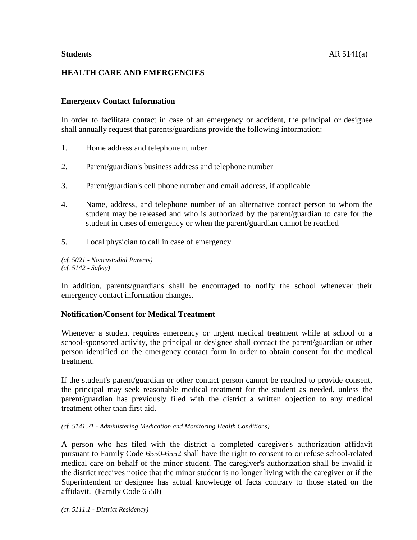# **HEALTH CARE AND EMERGENCIES**

# **Emergency Contact Information**

In order to facilitate contact in case of an emergency or accident, the principal or designee shall annually request that parents/guardians provide the following information:

- 1. Home address and telephone number
- 2. Parent/guardian's business address and telephone number
- 3. Parent/guardian's cell phone number and email address, if applicable
- 4. Name, address, and telephone number of an alternative contact person to whom the student may be released and who is authorized by the parent/guardian to care for the student in cases of emergency or when the parent/guardian cannot be reached
- 5. Local physician to call in case of emergency

*(cf. 5021 - Noncustodial Parents) (cf. 5142 - Safety)*

In addition, parents/guardians shall be encouraged to notify the school whenever their emergency contact information changes.

## **Notification/Consent for Medical Treatment**

Whenever a student requires emergency or urgent medical treatment while at school or a school-sponsored activity, the principal or designee shall contact the parent/guardian or other person identified on the emergency contact form in order to obtain consent for the medical treatment.

If the student's parent/guardian or other contact person cannot be reached to provide consent, the principal may seek reasonable medical treatment for the student as needed, unless the parent/guardian has previously filed with the district a written objection to any medical treatment other than first aid.

*(cf. 5141.21 - Administering Medication and Monitoring Health Conditions)*

A person who has filed with the district a completed caregiver's authorization affidavit pursuant to Family Code 6550-6552 shall have the right to consent to or refuse school-related medical care on behalf of the minor student. The caregiver's authorization shall be invalid if the district receives notice that the minor student is no longer living with the caregiver or if the Superintendent or designee has actual knowledge of facts contrary to those stated on the affidavit. (Family Code 6550)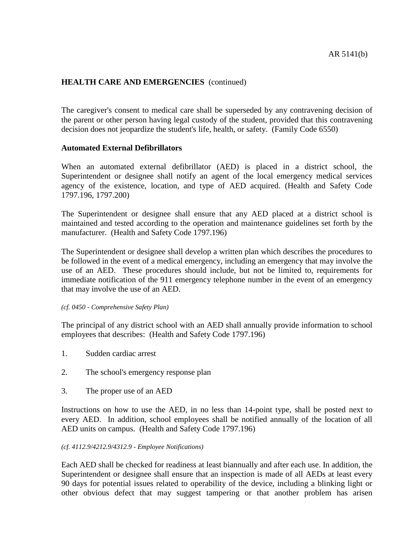## **HEALTH CARE AND EMERGENCIES** (continued)

The caregiver's consent to medical care shall be superseded by any contravening decision of the parent or other person having legal custody of the student, provided that this contravening decision does not jeopardize the student's life, health, or safety. (Family Code 6550)

## **Automated External Defibrillators**

When an automated external defibrillator (AED) is placed in a district school, the Superintendent or designee shall notify an agent of the local emergency medical services agency of the existence, location, and type of AED acquired. (Health and Safety Code 1797.196, 1797.200)

The Superintendent or designee shall ensure that any AED placed at a district school is maintained and tested according to the operation and maintenance guidelines set forth by the manufacturer. (Health and Safety Code 1797.196)

The Superintendent or designee shall develop a written plan which describes the procedures to be followed in the event of a medical emergency, including an emergency that may involve the use of an AED. These procedures should include, but not be limited to, requirements for immediate notification of the 911 emergency telephone number in the event of an emergency that may involve the use of an AED.

#### *(cf. 0450 - Comprehensive Safety Plan)*

The principal of any district school with an AED shall annually provide information to school employees that describes: (Health and Safety Code 1797.196)

- 1. Sudden cardiac arrest
- 2. The school's emergency response plan
- 3. The proper use of an AED

Instructions on how to use the AED, in no less than 14-point type, shall be posted next to every AED. In addition, school employees shall be notified annually of the location of all AED units on campus. (Health and Safety Code 1797.196)

#### *(cf. 4112.9/4212.9/4312.9 - Employee Notifications)*

Each AED shall be checked for readiness at least biannually and after each use. In addition, the Superintendent or designee shall ensure that an inspection is made of all AEDs at least every 90 days for potential issues related to operability of the device, including a blinking light or other obvious defect that may suggest tampering or that another problem has arisen